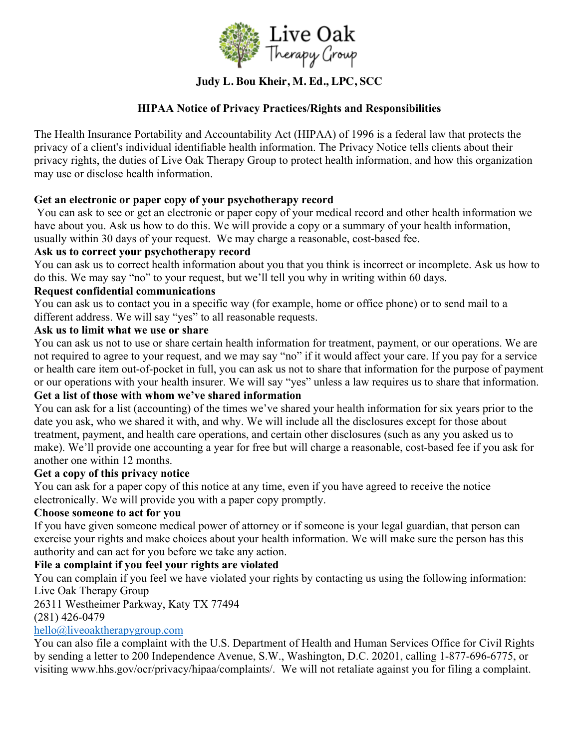

# **Judy L. Bou Kheir, M. Ed., LPC, SCC**

## **HIPAA Notice of Privacy Practices/Rights and Responsibilities**

The Health Insurance Portability and Accountability Act (HIPAA) of 1996 is a federal law that protects the privacy of a client's individual identifiable health information. The Privacy Notice tells clients about their privacy rights, the duties of Live Oak Therapy Group to protect health information, and how this organization may use or disclose health information.

### **Get an electronic or paper copy of your psychotherapy record**

You can ask to see or get an electronic or paper copy of your medical record and other health information we have about you. Ask us how to do this. We will provide a copy or a summary of your health information, usually within 30 days of your request. We may charge a reasonable, cost-based fee.

### **Ask us to correct your psychotherapy record**

You can ask us to correct health information about you that you think is incorrect or incomplete. Ask us how to do this. We may say "no" to your request, but we'll tell you why in writing within 60 days.

## **Request confidential communications**

You can ask us to contact you in a specific way (for example, home or office phone) or to send mail to a different address. We will say "yes" to all reasonable requests.

### **Ask us to limit what we use or share**

You can ask us not to use or share certain health information for treatment, payment, or our operations. We are not required to agree to your request, and we may say "no" if it would affect your care. If you pay for a service or health care item out-of-pocket in full, you can ask us not to share that information for the purpose of payment or our operations with your health insurer. We will say "yes" unless a law requires us to share that information.

### **Get a list of those with whom we've shared information**

You can ask for a list (accounting) of the times we've shared your health information for six years prior to the date you ask, who we shared it with, and why. We will include all the disclosures except for those about treatment, payment, and health care operations, and certain other disclosures (such as any you asked us to make). We'll provide one accounting a year for free but will charge a reasonable, cost-based fee if you ask for another one within 12 months.

### **Get a copy of this privacy notice**

You can ask for a paper copy of this notice at any time, even if you have agreed to receive the notice electronically. We will provide you with a paper copy promptly.

### **Choose someone to act for you**

If you have given someone medical power of attorney or if someone is your legal guardian, that person can exercise your rights and make choices about your health information. We will make sure the person has this authority and can act for you before we take any action.

### **File a complaint if you feel your rights are violated**

You can complain if you feel we have violated your rights by contacting us using the following information: Live Oak Therapy Group

26311 Westheimer Parkway, Katy TX 77494 (281) 426-0479

### hello@liveoaktherapygroup.com

You can also file a complaint with the U.S. Department of Health and Human Services Office for Civil Rights by sending a letter to 200 Independence Avenue, S.W., Washington, D.C. 20201, calling 1-877-696-6775, or visiting www.hhs.gov/ocr/privacy/hipaa/complaints/. We will not retaliate against you for filing a complaint.